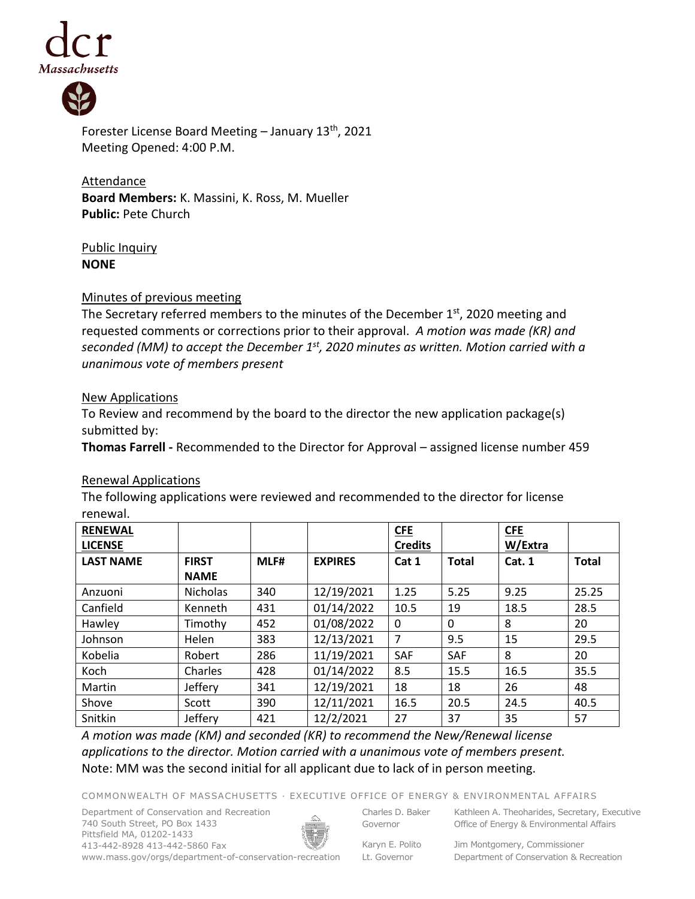



Forester License Board Meeting – January 13th, 2021 Meeting Opened: 4:00 P.M.

**Attendance Board Members:** K. Massini, K. Ross, M. Mueller **Public:** Pete Church

# Public Inquiry **NONE**

### Minutes of previous meeting

The Secretary referred members to the minutes of the December  $1<sup>st</sup>$ , 2020 meeting and requested comments or corrections prior to their approval. *A motion was made (KR) and seconded (MM) to accept the December 1 st, 2020 minutes as written. Motion carried with a unanimous vote of members present*

### New Applications

To Review and recommend by the board to the director the new application package(s) submitted by:

**Thomas Farrell -** Recommended to the Director for Approval – assigned license number 459

# Renewal Applications

The following applications were reviewed and recommended to the director for license renewal.

| <b>RENEWAL</b><br><b>LICENSE</b> |                 |      |                | <b>CFE</b><br><b>Credits</b> |              | <b>CFE</b><br>W/Extra |              |
|----------------------------------|-----------------|------|----------------|------------------------------|--------------|-----------------------|--------------|
| <b>LAST NAME</b>                 | <b>FIRST</b>    | MLF# | <b>EXPIRES</b> |                              | <b>Total</b> |                       | <b>Total</b> |
|                                  |                 |      |                | Cat 1                        |              | Cat. 1                |              |
|                                  | <b>NAME</b>     |      |                |                              |              |                       |              |
| Anzuoni                          | <b>Nicholas</b> | 340  | 12/19/2021     | 1.25                         | 5.25         | 9.25                  | 25.25        |
| Canfield                         | Kenneth         | 431  | 01/14/2022     | 10.5                         | 19           | 18.5                  | 28.5         |
| Hawley                           | Timothy         | 452  | 01/08/2022     | 0                            | $\Omega$     | 8                     | 20           |
| Johnson                          | Helen           | 383  | 12/13/2021     | 7                            | 9.5          | 15                    | 29.5         |
| Kobelia                          | Robert          | 286  | 11/19/2021     | SAF                          | SAF          | 8                     | 20           |
| Koch                             | Charles         | 428  | 01/14/2022     | 8.5                          | 15.5         | 16.5                  | 35.5         |
| Martin                           | Jeffery         | 341  | 12/19/2021     | 18                           | 18           | 26                    | 48           |
| Shove                            | Scott           | 390  | 12/11/2021     | 16.5                         | 20.5         | 24.5                  | 40.5         |
| Snitkin                          | Jeffery         | 421  | 12/2/2021      | 27                           | 37           | 35                    | 57           |

*A motion was made (KM) and seconded (KR) to recommend the New/Renewal license applications to the director. Motion carried with a unanimous vote of members present.* Note: MM was the second initial for all applicant due to lack of in person meeting.

COMMONWEALTH OF MASSACHUSETTS · EXECUTIVE OFFICE OF ENERGY & ENVIRONMENTAL AFFAIRS

Department of Conservation and Recreation 740 South Street, PO Box 1433 Pittsfield MA, 01202-1433 413-442-8928 413-442-5860 Fax www.mass.gov/orgs/department-of-conservation-recreation



Charles D. Baker Governor

Kathleen A. Theoharides, Secretary, Executive Office of Energy & Environmental Affairs

Karyn E. Polito Lt. Governor

Jim Montgomery, Commissioner Department of Conservation & Recreation